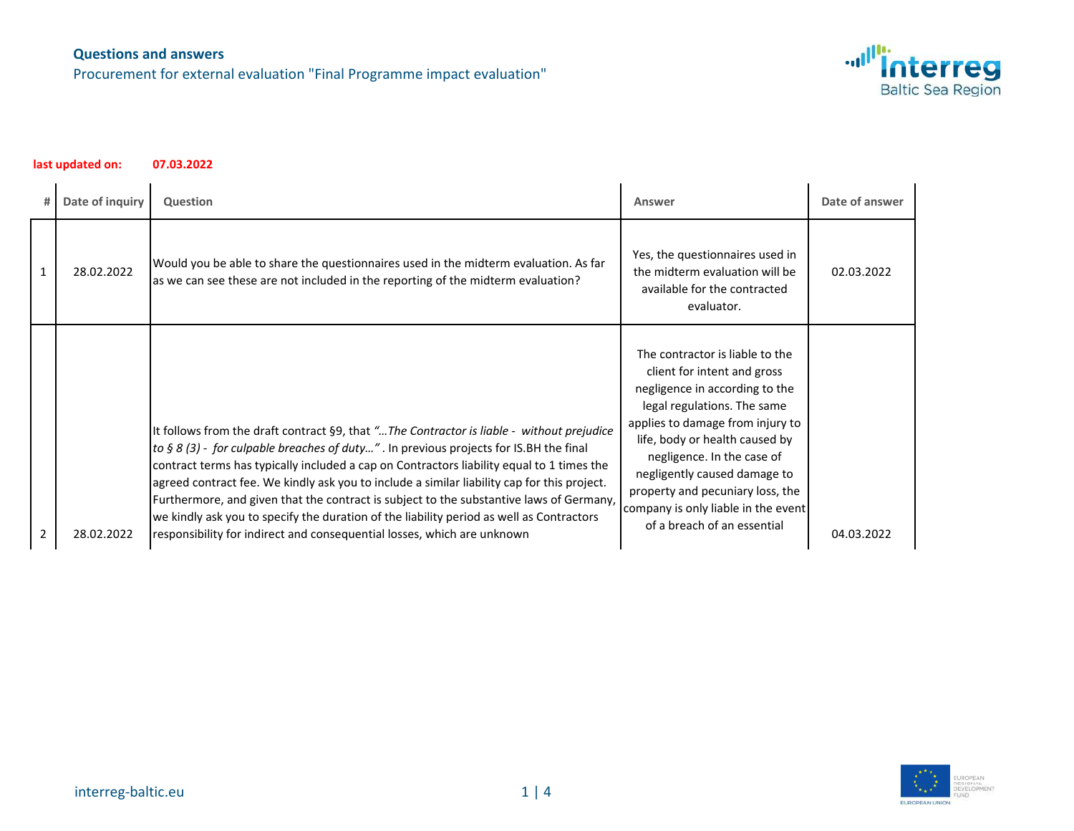Procurement for external evaluation "Final Programme impact evaluation"



| #              | Date of inquiry | <b>Question</b>                                                                                                                                                                                                                                                                                                                                                                                                                                                                                                                                                                                                                                   | Answer                                                                                                                                                                                                                                                                                                                                                                        | Date of answer |
|----------------|-----------------|---------------------------------------------------------------------------------------------------------------------------------------------------------------------------------------------------------------------------------------------------------------------------------------------------------------------------------------------------------------------------------------------------------------------------------------------------------------------------------------------------------------------------------------------------------------------------------------------------------------------------------------------------|-------------------------------------------------------------------------------------------------------------------------------------------------------------------------------------------------------------------------------------------------------------------------------------------------------------------------------------------------------------------------------|----------------|
| 1              | 28.02.2022      | Would you be able to share the questionnaires used in the midterm evaluation. As far<br>as we can see these are not included in the reporting of the midterm evaluation?                                                                                                                                                                                                                                                                                                                                                                                                                                                                          | Yes, the questionnaires used in<br>the midterm evaluation will be<br>available for the contracted<br>evaluator.                                                                                                                                                                                                                                                               | 02.03.2022     |
| $\overline{2}$ | 28.02.2022      | It follows from the draft contract §9, that " The Contractor is liable - without prejudice<br>to § 8 (3) - for culpable breaches of duty". In previous projects for IS.BH the final<br>contract terms has typically included a cap on Contractors liability equal to 1 times the<br>agreed contract fee. We kindly ask you to include a similar liability cap for this project.<br>Furthermore, and given that the contract is subject to the substantive laws of Germany,<br>we kindly ask you to specify the duration of the liability period as well as Contractors<br>responsibility for indirect and consequential losses, which are unknown | The contractor is liable to the<br>client for intent and gross<br>negligence in according to the<br>legal regulations. The same<br>applies to damage from injury to<br>life, body or health caused by<br>negligence. In the case of<br>negligently caused damage to<br>property and pecuniary loss, the<br>company is only liable in the event<br>of a breach of an essential | 04.03.2022     |

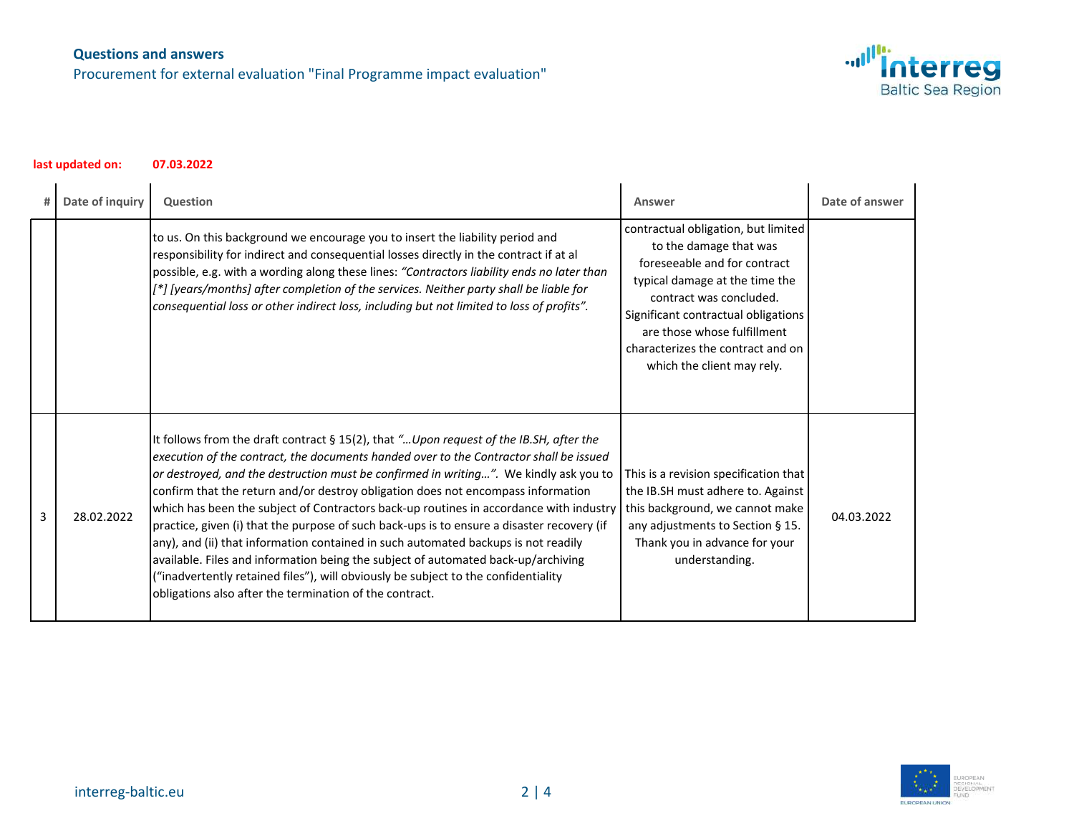Procurement for external evaluation "Final Programme impact evaluation"



|   | Date of inquiry | Question                                                                                                                                                                                                                                                                                                                                                                                                                                                                                                                                                                                                                                                                                                                                                                                                                                                                           | Answer                                                                                                                                                                                                                                                                                              | Date of answer |
|---|-----------------|------------------------------------------------------------------------------------------------------------------------------------------------------------------------------------------------------------------------------------------------------------------------------------------------------------------------------------------------------------------------------------------------------------------------------------------------------------------------------------------------------------------------------------------------------------------------------------------------------------------------------------------------------------------------------------------------------------------------------------------------------------------------------------------------------------------------------------------------------------------------------------|-----------------------------------------------------------------------------------------------------------------------------------------------------------------------------------------------------------------------------------------------------------------------------------------------------|----------------|
|   |                 | to us. On this background we encourage you to insert the liability period and<br>responsibility for indirect and consequential losses directly in the contract if at al<br>possible, e.g. with a wording along these lines: "Contractors liability ends no later than<br>[*] [years/months] after completion of the services. Neither party shall be liable for<br>consequential loss or other indirect loss, including but not limited to loss of profits".                                                                                                                                                                                                                                                                                                                                                                                                                       | contractual obligation, but limited<br>to the damage that was<br>foreseeable and for contract<br>typical damage at the time the<br>contract was concluded.<br>Significant contractual obligations<br>are those whose fulfillment<br>characterizes the contract and on<br>which the client may rely. |                |
| 3 | 28.02.2022      | It follows from the draft contract § 15(2), that " Upon request of the IB.SH, after the<br>execution of the contract, the documents handed over to the Contractor shall be issued<br>or destroyed, and the destruction must be confirmed in writing". We kindly ask you to<br>confirm that the return and/or destroy obligation does not encompass information<br>which has been the subject of Contractors back-up routines in accordance with industry<br>practice, given (i) that the purpose of such back-ups is to ensure a disaster recovery (if<br>any), and (ii) that information contained in such automated backups is not readily<br>available. Files and information being the subject of automated back-up/archiving<br>("inadvertently retained files"), will obviously be subject to the confidentiality<br>obligations also after the termination of the contract. | This is a revision specification that<br>the IB.SH must adhere to. Against<br>this background, we cannot make<br>any adjustments to Section § 15.<br>Thank you in advance for your<br>understanding.                                                                                                | 04.03.2022     |

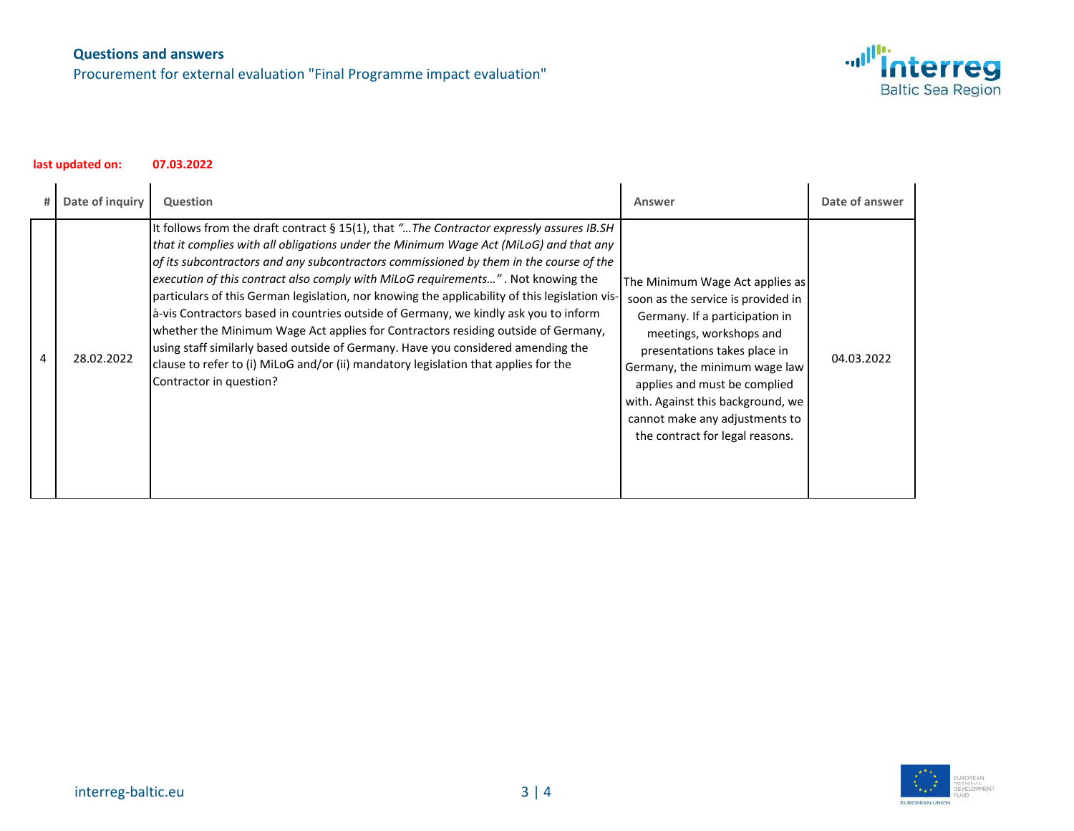Procurement for external evaluation "Final Programme impact evaluation"



| # | Date of inquiry | Question                                                                                                                                                                                                                                                                                                                                                                                                                                                                                                                                                                                                                                                                                                                                                                                                                                              | Answer                                                                                                                                                                                                                                                                                                                                        | Date of answer |
|---|-----------------|-------------------------------------------------------------------------------------------------------------------------------------------------------------------------------------------------------------------------------------------------------------------------------------------------------------------------------------------------------------------------------------------------------------------------------------------------------------------------------------------------------------------------------------------------------------------------------------------------------------------------------------------------------------------------------------------------------------------------------------------------------------------------------------------------------------------------------------------------------|-----------------------------------------------------------------------------------------------------------------------------------------------------------------------------------------------------------------------------------------------------------------------------------------------------------------------------------------------|----------------|
| 4 | 28.02.2022      | It follows from the draft contract § 15(1), that " The Contractor expressly assures IB.SH<br>that it complies with all obligations under the Minimum Wage Act (MiLoG) and that any<br>of its subcontractors and any subcontractors commissioned by them in the course of the<br>execution of this contract also comply with MiLoG requirements". Not knowing the<br>particulars of this German legislation, nor knowing the applicability of this legislation vis-<br>a-vis Contractors based in countries outside of Germany, we kindly ask you to inform<br>whether the Minimum Wage Act applies for Contractors residing outside of Germany,<br>using staff similarly based outside of Germany. Have you considered amending the<br>clause to refer to (i) MiLoG and/or (ii) mandatory legislation that applies for the<br>Contractor in question? | The Minimum Wage Act applies as<br>soon as the service is provided in<br>Germany. If a participation in<br>meetings, workshops and<br>presentations takes place in<br>Germany, the minimum wage law<br>applies and must be complied<br>with. Against this background, we<br>cannot make any adjustments to<br>the contract for legal reasons. | 04.03.2022     |